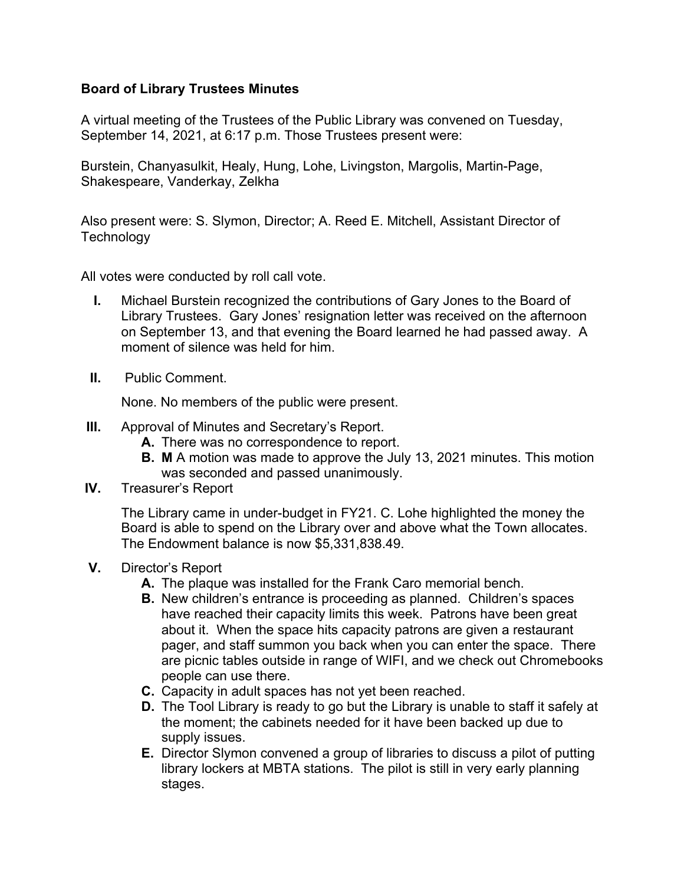## **Board of Library Trustees Minutes**

A virtual meeting of the Trustees of the Public Library was convened on Tuesday, September 14, 2021, at 6:17 p.m. Those Trustees present were:

Burstein, Chanyasulkit, Healy, Hung, Lohe, Livingston, Margolis, Martin-Page, Shakespeare, Vanderkay, Zelkha

Also present were: S. Slymon, Director; A. Reed E. Mitchell, Assistant Director of **Technology** 

All votes were conducted by roll call vote.

- **I.** Michael Burstein recognized the contributions of Gary Jones to the Board of Library Trustees. Gary Jones' resignation letter was received on the afternoon on September 13, and that evening the Board learned he had passed away. A moment of silence was held for him.
- **II.** Public Comment.

None. No members of the public were present.

- **III.** Approval of Minutes and Secretary's Report.
	- **A.** There was no correspondence to report.
	- **B. M** A motion was made to approve the July 13, 2021 minutes. This motion was seconded and passed unanimously.
- **IV.** Treasurer's Report

The Library came in under-budget in FY21. C. Lohe highlighted the money the Board is able to spend on the Library over and above what the Town allocates. The Endowment balance is now \$5,331,838.49.

- **V.** Director's Report
	- **A.** The plaque was installed for the Frank Caro memorial bench.
	- **B.** New children's entrance is proceeding as planned. Children's spaces have reached their capacity limits this week. Patrons have been great about it. When the space hits capacity patrons are given a restaurant pager, and staff summon you back when you can enter the space. There are picnic tables outside in range of WIFI, and we check out Chromebooks people can use there.
	- **C.** Capacity in adult spaces has not yet been reached.
	- **D.** The Tool Library is ready to go but the Library is unable to staff it safely at the moment; the cabinets needed for it have been backed up due to supply issues.
	- **E.** Director Slymon convened a group of libraries to discuss a pilot of putting library lockers at MBTA stations. The pilot is still in very early planning stages.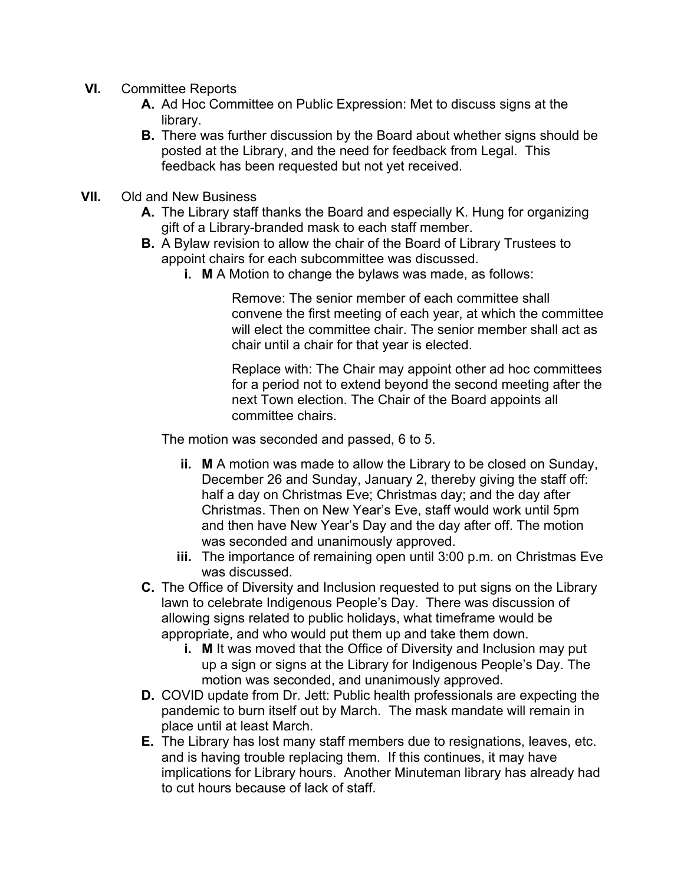- **VI.** Committee Reports
	- **A.** Ad Hoc Committee on Public Expression: Met to discuss signs at the library.
	- **B.** There was further discussion by the Board about whether signs should be posted at the Library, and the need for feedback from Legal. This feedback has been requested but not yet received.
- **VII.** Old and New Business
	- **A.** The Library staff thanks the Board and especially K. Hung for organizing gift of a Library-branded mask to each staff member.
	- **B.** A Bylaw revision to allow the chair of the Board of Library Trustees to appoint chairs for each subcommittee was discussed.
		- **i. M** A Motion to change the bylaws was made, as follows:

Remove: The senior member of each committee shall convene the first meeting of each year, at which the committee will elect the committee chair. The senior member shall act as chair until a chair for that year is elected.

Replace with: The Chair may appoint other ad hoc committees for a period not to extend beyond the second meeting after the next Town election. The Chair of the Board appoints all committee chairs.

The motion was seconded and passed, 6 to 5.

- **ii. M** A motion was made to allow the Library to be closed on Sunday, December 26 and Sunday, January 2, thereby giving the staff off: half a day on Christmas Eve; Christmas day; and the day after Christmas. Then on New Year's Eve, staff would work until 5pm and then have New Year's Day and the day after off. The motion was seconded and unanimously approved.
- **iii.** The importance of remaining open until 3:00 p.m. on Christmas Eve was discussed.
- **C.** The Office of Diversity and Inclusion requested to put signs on the Library lawn to celebrate Indigenous People's Day. There was discussion of allowing signs related to public holidays, what timeframe would be appropriate, and who would put them up and take them down.
	- **i. M** It was moved that the Office of Diversity and Inclusion may put up a sign or signs at the Library for Indigenous People's Day. The motion was seconded, and unanimously approved.
- **D.** COVID update from Dr. Jett: Public health professionals are expecting the pandemic to burn itself out by March. The mask mandate will remain in place until at least March.
- **E.** The Library has lost many staff members due to resignations, leaves, etc. and is having trouble replacing them. If this continues, it may have implications for Library hours. Another Minuteman library has already had to cut hours because of lack of staff.